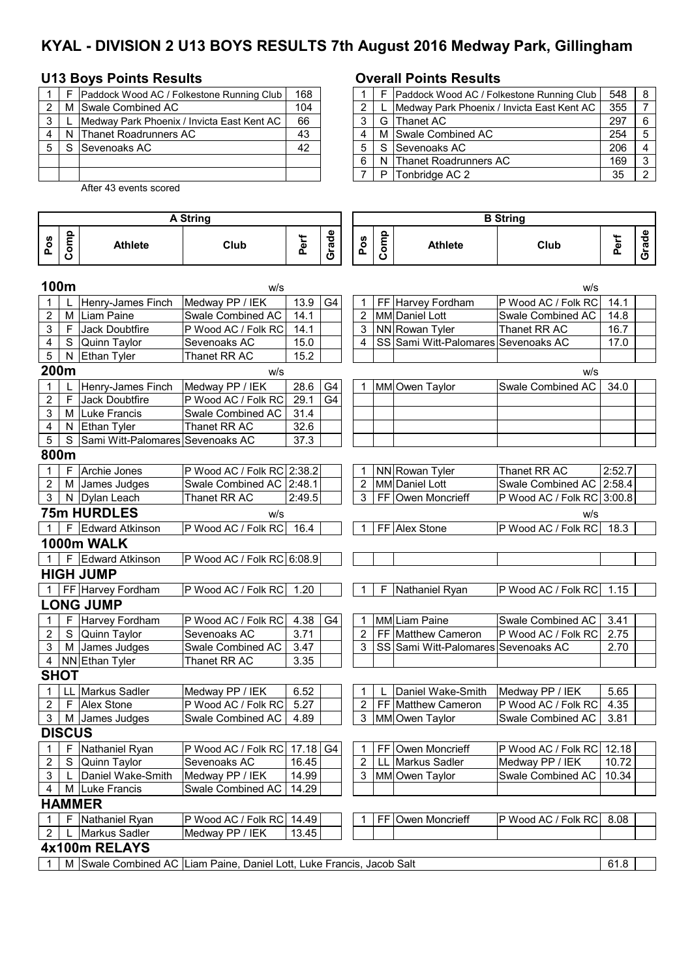# **KYAL - DIVISION 2 U13 BOYS RESULTS 7th August 2016 Medway Park, Gillingham**

## **U13 Boys Points Results Overall Points Results**

|   |   | Paddock Wood AC / Folkestone Running Club  | 168 |   |   | Paddock Wood  |
|---|---|--------------------------------------------|-----|---|---|---------------|
| っ | м | Swale Combined AC                          | 104 |   |   | Medway Park P |
| 3 |   | Medway Park Phoenix / Invicta East Kent AC | 66  |   | G | Thanet AC     |
| 4 |   | N Thanet Roadrunners AC                    | 43  |   | м | Swale Combine |
| 5 |   | Sevenoaks AC                               | 42  |   | S | Sevenoaks AC  |
|   |   |                                            |     | 6 | N | Thanet Roadru |
|   |   |                                            |     |   | P | Tonbridge AC: |

After 43 events scored

### **Pos Comp** Athlete **Club Perf Grade Pos Comp Athlete Club Perf Grade 100m** w/s w/s 1 | L |Henry-James Finch | Medway PP / IEK | 13.9 | G4 | | 1 | FF | Harvey Fordham | P Wood AC / Folk RC | 14.1 2 | M | Liam Paine | Swale Combined AC | 14.1 | | | | 2 | MM | Daniel Lott | Swale Combined AC | 14.8 3 F Jack Doubtfire P Wood AC / Folk RC 14.1 | | 3 | NN Rowan Tyler Thanet RR AC | 16.7 4 S Quinn Taylor Sevenoaks AC 15.0 4 SS Sami Witt-Palomares Sevenoaks AC 17.0 5 | N Ethan Tyler | Thanet RR AC | 15.2 **200m** w/s w/s 1 | L | Henry-James Finch | Medway PP / IEK | 28.6 | G4 | 1 | MM Owen Taylor | Swale Combined AC | 34.0 2 | F Jack Doubtfire | P Wood AC / Folk RC 29.1 | G4 3 | M | Luke Francis | Swale Combined AC | 31.4 4 | N Ethan Tyler Thanet RR AC | 32.6 5 S Sami Witt-Palomares Sevenoaks AC 37.3 **800m** 1 | F | Archie Jones | P Wood AC / Folk RC | 2:38.2 | | | 1 | NN | Rowan Tyler | Thanet RR AC | 2:52.7 2 M James Judges Swale Combined AC 2:48.1 | | 2 MM Daniel Lott Swale Combined AC 2:58.4 3 N Dylan Leach Thanet RR AC 2:49.5 3 FF Owen Moncrieff P Wood AC / Folk RC 3:00.8 **75m HURDLES** w/s w/s 1 | F | Edward Atkinson | P Wood AC / Folk RC | 16.4 | | | | 1 | FF | Alex Stone | P Wood AC / Folk RC | 18.3 **1000m WALK** 1 | F Edward Atkinson | P Wood AC / Folk RC 6:08.9 **HIGH JUMP** 1 FF Harvey Fordham P Wood AC / Folk RC 1.20 1 F Nathaniel Ryan P Wood AC / Folk RC 1.15 **LONG JUMP** 1 | F | Harvey Fordham | P Wood AC / Folk RC | 4.38 | G4 | 1 | MM Liam Paine | Swale Combined AC | 3.41 2 S Quinn Taylor Sevenoaks AC 3.71 2 FF Matthew Cameron P Wood AC / Folk RC 2.75 3 | M | James Judges | Swale Combined AC | 3.47 | 3 | SS Sami Witt-Palomares Sevenoaks AC | 2.70 4 | NN Ethan Tyler | Thanet RR AC | 3.35 **SHOT**  1 | LL Markus Sadler Medway PP / IEK | 6.52 | | | 1 | L | Daniel Wake-Smith Medway PP / IEK | 5.65 2 | F | Alex Stone  $\vert$  P Wood AC / Folk RC | 5.27 |  $\vert$  | 2 | FF | Matthew Cameron | P Wood AC / Folk RC | 4.35 3 | M | James Judges | Swale Combined AC | 4.89 | | | | 3 | MM Owen Taylor | Swale Combined AC | 3.81 **DISCUS** 1 | F |Nathaniel Ryan | P Wood AC / Folk RC | 17.18 G4 | 1 | FF Owen Moncrieff | P Wood AC / Folk RC | 12.18 2 S Quinn Taylor Sevenoaks AC 16.45 | 2 LL Markus Sadler Medway PP / IEK 10.72 3 L Daniel Wake-Smith Medway PP / IEK 14.99 3 MM Owen Taylor Swale Combined AC 10.34<br>4 M Luke Francis Swale Combined AC 14.29 4 M Luke Francis Swale Combined AC 14.29 **HAMMER** 1 F Nathaniel Ryan P Wood AC / Folk RC 14.49 1 FF Owen Moncrieff P Wood AC / Folk RC 8.08 2 | L Markus Sadler Medway PP / IEK | 13.45 **4x100m RELAYS** 1 | M Swale Combined AC Liam Paine, Daniel Lott, Luke Francis, Jacob Salt 61.8 **A String B String**

|                |              | Paddock Wood AC / Folkestone Running Club  | 168 |  |    | Paddock Wood AC / Folkestone Running Club  | 548 |  |
|----------------|--------------|--------------------------------------------|-----|--|----|--------------------------------------------|-----|--|
| $\mathbf{2}^-$ | M            | Swale Combined AC                          | 104 |  |    | Medway Park Phoenix / Invicta East Kent AC | 355 |  |
| ົ              |              | Medway Park Phoenix / Invicta East Kent AC | 66  |  |    | G Thanet AC                                | 297 |  |
| 4              | <sub>N</sub> | <b>Thanet Roadrunners AC</b>               | 43  |  |    | M Swale Combined AC                        | 254 |  |
| 5              |              | <b>Sevenoaks AC</b>                        | 42  |  | S. | Sevenoaks AC                               | 206 |  |
|                |              |                                            |     |  | N  | Thanet Roadrunners AC                      | 169 |  |
|                |              |                                            |     |  | D  | Tonbridge AC 2                             | 35  |  |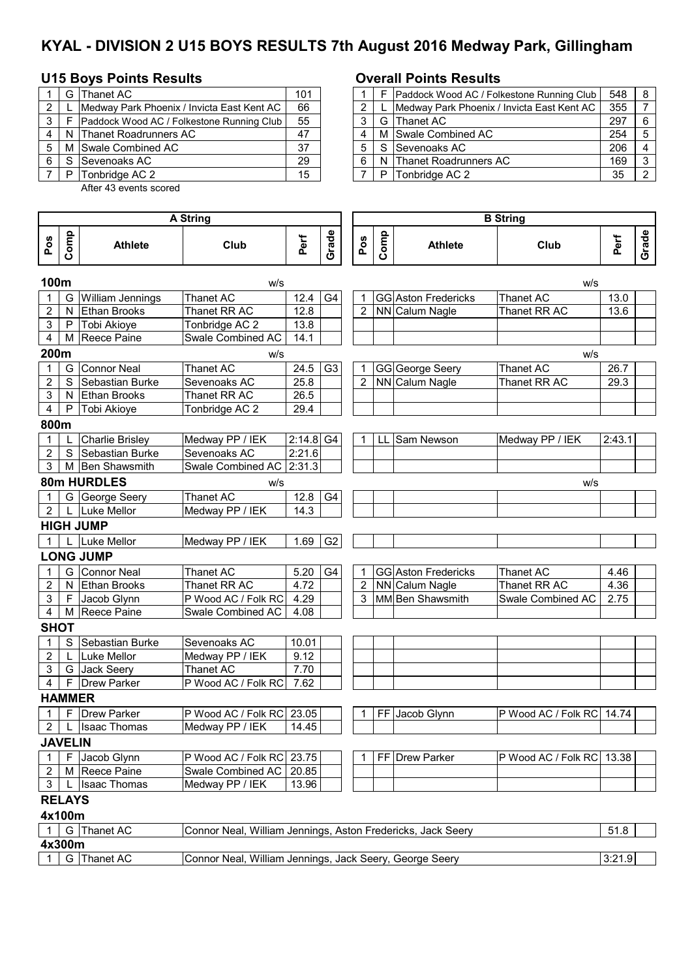# **KYAL - DIVISION 2 U15 BOYS RESULTS 7th August 2016 Medway Park, Gillingham**

## **U15 Boys Points Results Overall Points Results**

|                | G | Thanet AC                                  | 101 |   | Paddock Wood AC / F  |
|----------------|---|--------------------------------------------|-----|---|----------------------|
| $\overline{2}$ |   | Medway Park Phoenix / Invicta East Kent AC | 66  | ◠ | Medway Park Phoenix  |
| 3              |   | Paddock Wood AC / Folkestone Running Club  | 55  |   | G IThanet AC         |
|                |   | Thanet Roadrunners AC                      | 47  |   | M Swale Combined AC  |
| 5              |   | M Swale Combined AC                        | 37  | 5 | S Sevenoaks AC       |
| 6              |   | Sevenoaks AC                               | 29  | 6 | N Thanet Roadrunners |
|                | D | Tonbridge AC 2                             | 15  |   | Tonbridge AC 2       |
|                |   |                                            |     |   |                      |

After 43 events scored

### **Pos Comp** Athlete **Club Perf Grade Pos Comp Athlete Club Perf Grade 100m** w/s w/s 1 G William Jennings Thanet AC 12.4 G4 1 GG Aston Fredericks Thanet AC 13.0 2 | N Ethan Brooks | Thanet RR AC | 12.8 | | 2 NN Calum Nagle | Thanet RR AC | 13.6 3 P Tobi Akioye Tonbridge AC 2 13.8 4 M Reece Paine Swale Combined AC 14.1 **200m** w/s w/s 1 G Connor Neal Thanet AC 1 24.5 G3 1 1 GG George Seery Thanet AC 26.7 2 S Sebastian Burke Sevenoaks AC 25.8 | 2 NN Calum Nagle Thanet RR AC 29.3 3 N Ethan Brooks Thanet RR AC 26.5 4 P Tobi Akioye Tonbridge AC 2 29.4 **800m** 1 L Charlie Brisley Medway PP / IEK 2:14.8 G4 1 LL Sam Newson Medway PP / IEK 2:43.1 2 S Sebastian Burke Sevenoaks AC 2:21.6 3 M Ben Shawsmith Swale Combined AC 2:31.3 **80m HURDLES** w/s w/s 1 G George Seery Thanet AC 12.8 G4 2 | L | Luke Mellor | Medway PP / IEK | 14.3 **HIGH JUMP** 1 L Luke Mellor Medway PP / IEK 1.69 G2 **LONG JUMP** 1 G Connor Neal Thanet AC 1 5.20 G4 1 GG Aston Fredericks Thanet AC 1.4.46 2 N Ethan Brooks Thanet RR AC 4.72 2 NN Calum Nagle Thanet RR AC 4.36 3 | F Jacob Glynn P Wood AC / Folk RC | 4.29 | 3 | MM Ben Shawsmith Swale Combined AC | 2.75 4 | M Reece Paine | Swale Combined AC | 4.08 **SHOT** 1 S Sebastian Burke Sevenoaks AC 10.01 2 | L Luke Mellor Medway PP / IEK 9.12 3 G Jack Seery Thanet AC 7.70  $4 \mid F \mid$ Drew Parker | P Wood AC / Folk RC 7.62 **HAMMER** 1 | F | Drew Parker P Wood AC / Folk RC | 23.05 | | | 1 | FF | Jacob Glynn | P Wood AC / Folk RC | 14.74  $2 \mid L$  Isaac Thomas Medway PP / IEK 14.45 **JAVELIN** 1 F Jacob Glynn P Wood AC / Folk RC 23.75 1 FF Drew Parker P Wood AC / Folk RC 13.38<br>2 M Reece Paine Swale Combined AC 20.85 2 M Reece Paine Swale Combined AC 20.85 3 | L Isaac Thomas Medway PP / IEK 13.96 **RELAYS 4x100m**<br>1 | G | Thanet AC 1 | G |Thanet AC |Connor Neal, William Jennings, Aston Fredericks, Jack Seery | 51.8 **4x300m A String B String**

| ___ |            |                                                                                                           |              |  |
|-----|------------|-----------------------------------------------------------------------------------------------------------|--------------|--|
|     | ner<br>¬៶. | .<br>$\sim$<br>seerv<br>Willian<br>√ack.<br>nnnas<br>nn<br>$\sim$<br>Nea.<br>eni<br>eorge.<br>Seen v<br>. | ◡.∠<br>- - - |  |

|                | G  | Thanet AC                                  | 101 |  |   | Paddock Wood AC / Folkestone Running Club  | 548 |  |
|----------------|----|--------------------------------------------|-----|--|---|--------------------------------------------|-----|--|
| $\overline{2}$ |    | Medway Park Phoenix / Invicta East Kent AC | 66  |  |   | Medway Park Phoenix / Invicta East Kent AC | 355 |  |
| 3              |    | Paddock Wood AC / Folkestone Running Club  | 55  |  |   | G Thanet AC                                | 297 |  |
| 4 I            |    | N Thanet Roadrunners AC                    | 47  |  |   | M Swale Combined AC                        | 254 |  |
| 5              | M  | Swale Combined AC                          | 37  |  |   | S Sevenoaks AC                             | 206 |  |
| 6              | -S | Sevenoaks AC                               | 29  |  |   | N Thanet Roadrunners AC                    | 169 |  |
|                | P  | Tonbridge AC 2                             | 15  |  | P | Tonbridge AC 2                             | 35  |  |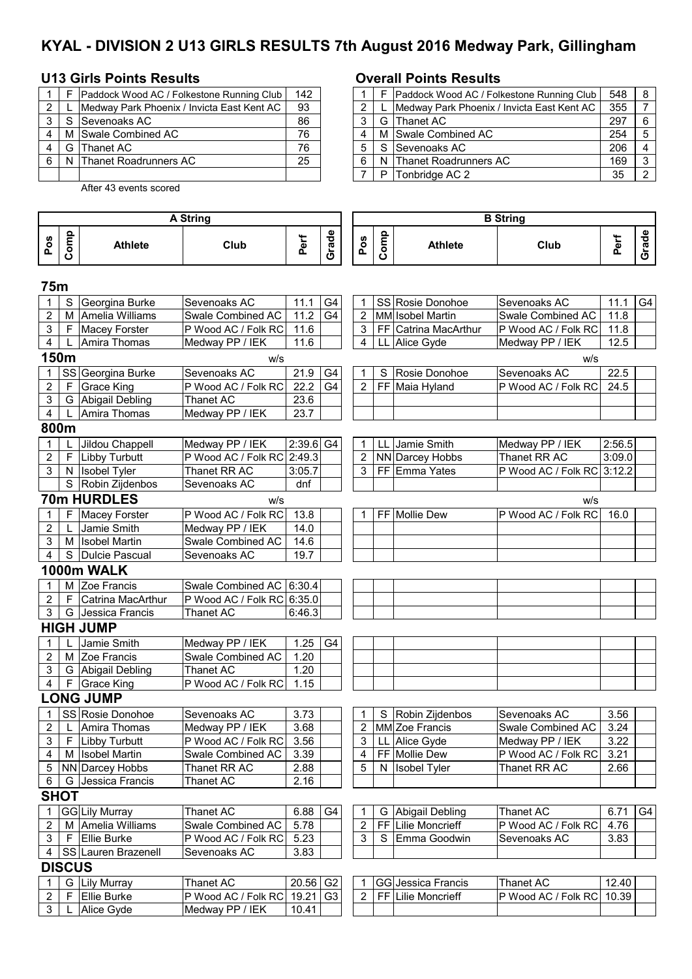# **KYAL - DIVISION 2 U13 GIRLS RESULTS 7th August 2016 Medway Park, Gillingham**

# **U13 Girls Points Results Overall Points Results**

|  | Paddock Wood AC / Folkestone Running Club  | 142 |   |   | Paddock Wood AC / Folke  |
|--|--------------------------------------------|-----|---|---|--------------------------|
|  | Medway Park Phoenix / Invicta East Kent AC | 93  |   |   | Medway Park Phoenix / Ir |
|  | Sevenoaks AC                               | 86  |   |   | G Thanet AC              |
|  | M Swale Combined AC                        | 76  |   |   | M Swale Combined AC      |
|  | G Thanet AC                                | 76  | 5 |   | Sevenoaks AC             |
|  | <b>Thanet Roadrunners AC</b>               | 25  | 6 |   | Thanet Roadrunners AC    |
|  |                                            |     |   | P | Tonbridge AC 2           |

After 43 events scored

### **Pos Comp Athlete Club Perf Grade Pos Comp** Athlete | Club **Perf Grade A String B String**

## **75m**

| 1                       | S             | Georgina Burke       | Sevenoaks AC               | 11.1        | G4             | 1              |             | SS Rosie Donohoe     | Sevenoaks AC               | 11.1   | G4             |
|-------------------------|---------------|----------------------|----------------------------|-------------|----------------|----------------|-------------|----------------------|----------------------------|--------|----------------|
| $\overline{2}$          | М             | Amelia Williams      | Swale Combined AC          | 11.2        | G <sub>4</sub> | $\overline{2}$ |             | MM Isobel Martin     | Swale Combined AC          | 11.8   |                |
| 3                       |               | F   Macey Forster    | P Wood AC / Folk RC        | 11.6        |                | 3              |             | FF Catrina MacArthur | P Wood AC / Folk RC        | 11.8   |                |
| 4                       |               | Amira Thomas         | Medway PP / IEK            | 11.6        |                | 4              |             | LL Alice Gyde        | Medway PP / IEK            | 12.5   |                |
|                         | 150m          |                      | W/S                        |             |                |                |             |                      | w/s                        |        |                |
| $\mathbf{1}$            |               | SS Georgina Burke    | Sevenoaks AC               | 21.9        | G4             | 1              | $\mathbf S$ | Rosie Donohoe        | Sevenoaks AC               | 22.5   |                |
| $\mathbf 2$             | F.            | <b>Grace King</b>    | P Wood AC / Folk RC        | 22.2        | G <sub>4</sub> | $\overline{2}$ |             | FF Maia Hyland       | P Wood AC / Folk RC        | 24.5   |                |
| 3                       |               | G Abigail Debling    | <b>Thanet AC</b>           | 23.6        |                |                |             |                      |                            |        |                |
| 4                       | $\mathbf{L}$  | Amira Thomas         | Medway PP / IEK            | 23.7        |                |                |             |                      |                            |        |                |
|                         | 800m          |                      |                            |             |                |                |             |                      |                            |        |                |
| 1                       |               | Jildou Chappell      | Medway PP / IEK            | $2:39.6$ G4 |                | 1              |             | LL Jamie Smith       | Medway PP / IEK            | 2:56.5 |                |
| $\overline{2}$          | F             | Libby Turbutt        | P Wood AC / Folk RC 2:49.3 |             |                | 2              |             | NN Darcey Hobbs      | Thanet RR AC               | 3:09.0 |                |
| 3                       |               | N Isobel Tyler       | Thanet RR AC               | 3:05.7      |                | 3              |             | FF Emma Yates        | P Wood AC / Folk RC 3:12.2 |        |                |
|                         |               | S Robin Zijdenbos    | Sevenoaks AC               | dnf         |                |                |             |                      |                            |        |                |
|                         |               | 70m HURDLES          | W/S                        |             |                |                |             |                      | w/s                        |        |                |
| 1                       | F.            | <b>Macey Forster</b> | P Wood AC / Folk RC        | 13.8        |                |                |             | FF Mollie Dew        | P Wood AC / Folk RC        | 16.0   |                |
| $\overline{2}$          |               | Jamie Smith          | Medway PP / IEK            | 14.0        |                |                |             |                      |                            |        |                |
| 3                       | М             | <b>Isobel Martin</b> | Swale Combined AC          | 14.6        |                |                |             |                      |                            |        |                |
| 4                       |               | S   Dulcie Pascual   | Sevenoaks AC               | 19.7        |                |                |             |                      |                            |        |                |
|                         |               | 1000m WALK           |                            |             |                |                |             |                      |                            |        |                |
| 1                       | м             | Zoe Francis          | Swale Combined AC 6:30.4   |             |                |                |             |                      |                            |        |                |
| 2                       | F.            | Catrina MacArthur    | P Wood AC / Folk RC 6:35.0 |             |                |                |             |                      |                            |        |                |
| 3                       | G             | Jessica Francis      | <b>Thanet AC</b>           | 6:46.3      |                |                |             |                      |                            |        |                |
|                         |               | <b>HIGH JUMP</b>     |                            |             |                |                |             |                      |                            |        |                |
| 1                       |               | Jamie Smith          | Medway PP / IEK            | 1.25        | G <sub>4</sub> |                |             |                      |                            |        |                |
| 2                       |               | M Zoe Francis        | Swale Combined AC          | 1.20        |                |                |             |                      |                            |        |                |
| 3                       |               | G Abigail Debling    | Thanet AC                  | 1.20        |                |                |             |                      |                            |        |                |
| 4                       | F.            | <b>Grace King</b>    | P Wood AC / Folk RC        | 1.15        |                |                |             |                      |                            |        |                |
|                         |               | <b>LONG JUMP</b>     |                            |             |                |                |             |                      |                            |        |                |
| 1                       |               | SS Rosie Donohoe     | Sevenoaks AC               | 3.73        |                | 1              | S           | Robin Zijdenbos      | Sevenoaks AC               | 3.56   |                |
| $\overline{c}$          |               | Amira Thomas         | Medway PP / IEK            | 3.68        |                | $\overline{2}$ |             | MM Zoe Francis       | Swale Combined AC          | 3.24   |                |
| 3                       | F             | <b>Libby Turbutt</b> | P Wood AC / Folk RC        | 3.56        |                | 3              | LL.         | Alice Gyde           | Medway PP / IEK            | 3.22   |                |
| 4                       | м             | <b>Isobel Martin</b> | Swale Combined AC          | 3.39        |                | 4              |             | FF Mollie Dew        | P Wood AC / Folk RC        | 3.21   |                |
| 5                       |               | NN Darcey Hobbs      | Thanet RR AC               | 2.88        |                | 5              |             | N Isobel Tyler       | Thanet RR AC               | 2.66   |                |
| 6                       | G             | Jessica Francis      | Thanet AC                  | 2.16        |                |                |             |                      |                            |        |                |
|                         | <b>SHOT</b>   |                      |                            |             |                |                |             |                      |                            |        |                |
| 1                       |               | GG Lily Murray       | <b>Thanet AC</b>           | 6.88        | G4             | 1              |             | G Abigail Debling    | <b>Thanet AC</b>           | 6.71   | G <sub>4</sub> |
| 2                       |               | M Amelia Williams    | Swale Combined AC          | 5.78        |                | 2              |             | FF Lilie Moncrieff   | P Wood AC / Folk RC        | 4.76   |                |
| 3                       | F.            | Ellie Burke          | P Wood AC / Folk RC        | 5.23        |                | 3              | S           | Emma Goodwin         | Sevenoaks AC               | 3.83   |                |
| 4                       |               | SS Lauren Brazenell  | Sevenoaks AC               | 3.83        |                |                |             |                      |                            |        |                |
|                         | <b>DISCUS</b> |                      |                            |             |                |                |             |                      |                            |        |                |
| 1                       | G             | <b>Lily Murray</b>   | Thanet AC                  | 20.56 G2    |                |                |             | GG Jessica Francis   | Thanet AC                  | 12.40  |                |
| $\overline{\mathbf{c}}$ | F.            | Ellie Burke          | P Wood AC / Folk RC        | 19.21       | G <sub>3</sub> | 2              |             | FF Lilie Moncrieff   | P Wood AC / Folk RC        | 10.39  |                |
|                         |               |                      |                            |             |                |                |             |                      |                            |        |                |

|                |    | Paddock Wood AC / Folkestone Running Club  | 142 |  | Paddock Wood AC / Folkestone Running Club  | 548 | 8 |
|----------------|----|--------------------------------------------|-----|--|--------------------------------------------|-----|---|
| $\overline{2}$ |    | Medway Park Phoenix / Invicta East Kent AC | 93  |  | Medway Park Phoenix / Invicta East Kent AC | 355 |   |
| 3 I            | -S | <b>Sevenoaks AC</b>                        | 86  |  | G Thanet AC                                | 297 |   |
| 4 I            |    | M Swale Combined AC                        | 76  |  | M Swale Combined AC                        | 254 |   |
| 4              | G  | lThanet AC                                 | 76  |  | S Sevenoaks AC                             | 206 |   |
| 61             |    | <b>Thanet Roadrunners AC</b>               | 25  |  | N Thanet Roadrunners AC                    | 169 |   |
|                |    |                                            |     |  | P Tonbridge AC 2                           | 35  |   |
|                |    |                                            |     |  |                                            |     |   |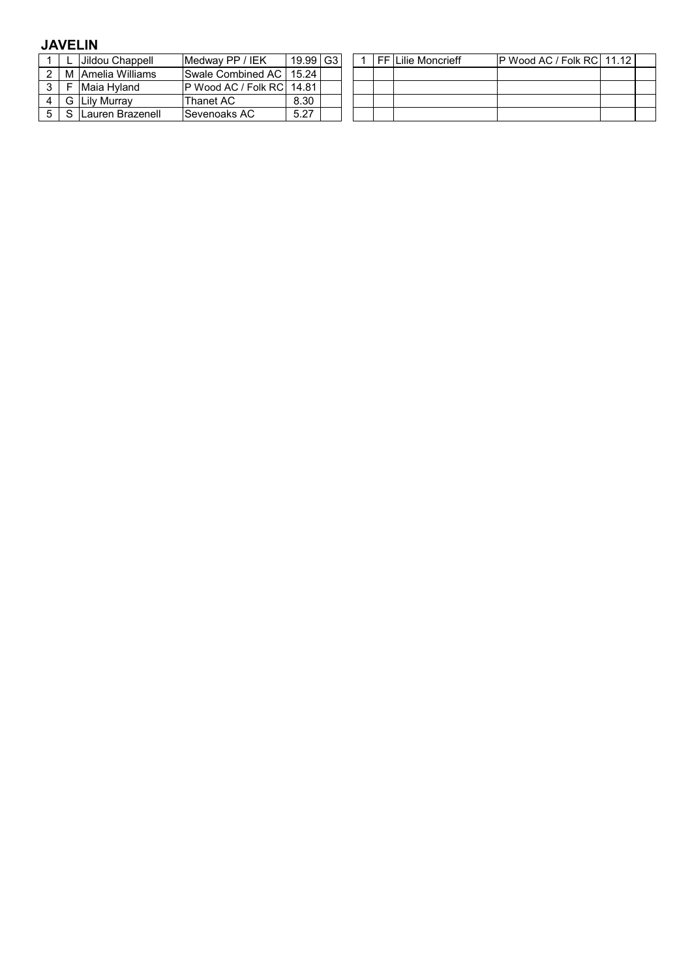# **JAVELIN**

|   | Jildou Chappell     | Medway PP / IEK                    | 19.99 G3 |  |  | ⊩FF Lilie Moncrieff | IP Wood AC / Folk RCI 11.12 |  |
|---|---------------------|------------------------------------|----------|--|--|---------------------|-----------------------------|--|
|   | M I Amelia Williams | <b>Swale Combined AC   15.24  </b> |          |  |  |                     |                             |  |
|   | IMaia Hvland        | IP Wood AC / Folk RCI 14.81        |          |  |  |                     |                             |  |
| G | Lily Murrav         | Thanet AC                          | 8.30     |  |  |                     |                             |  |
|   | Lauren Brazenell    | Sevenoaks AC                       | 5.27     |  |  |                     |                             |  |

|  | 1   FF   Lilie Moncrieff | P Wood AC / Folk RC 11.12 |  |
|--|--------------------------|---------------------------|--|
|  |                          |                           |  |
|  |                          |                           |  |
|  |                          |                           |  |
|  |                          |                           |  |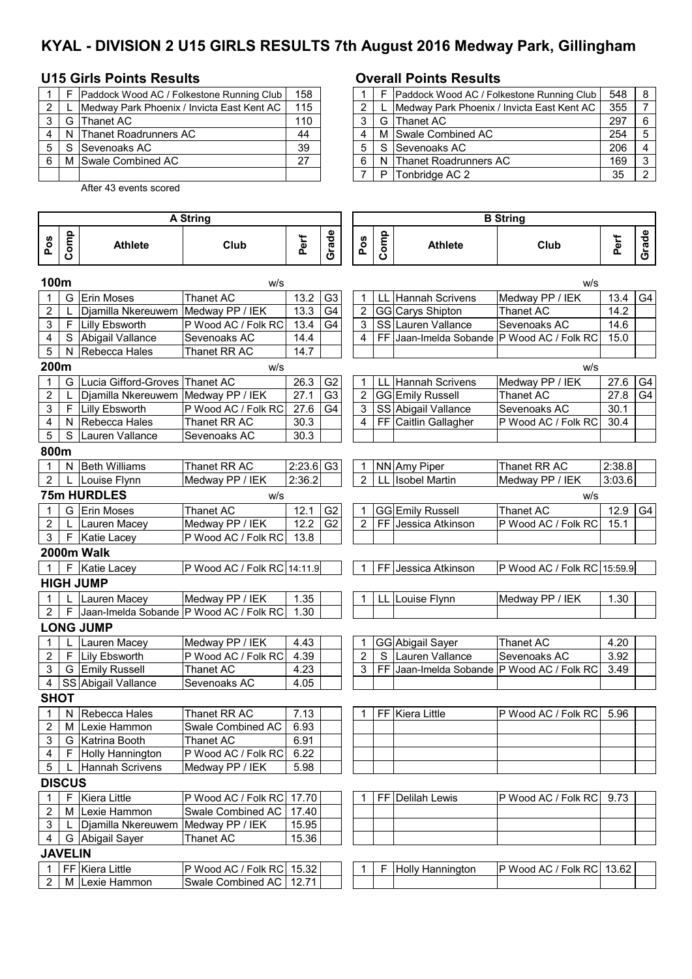# **KYAL - DIVISION 2 U15 GIRLS RESULTS 7th August 2016 Medway Park, Gillingham**

## **U15 Girls Points Results Overall Points Results**

|   | Paddock Wood AC / Folkestone Running Club  | 158 |   | Paddock Wood AC / Folke  |
|---|--------------------------------------------|-----|---|--------------------------|
|   | Medway Park Phoenix / Invicta East Kent AC | 115 |   | Medway Park Phoenix / Ir |
|   | G Thanet AC                                | 110 | 3 | G Thanet AC              |
| 4 | N Thanet Roadrunners AC                    | 44  |   | M Swale Combined AC      |
| 5 | Sevenoaks AC                               | 39  | 5 | Sevenoaks AC             |
| 6 | M Swale Combined AC                        | 27  | 6 | N Thanet Roadrunners AC  |
|   |                                            |     |   | <b>Tonbridge AC 2</b>    |

2 M Lexie Hammon Swale Combined AC 12.71

After 43 events scored

### **Pos Comp** Athlete **Club Perf Grade Pos Comp Athlete Club Perf Grade 100m** w/s w/s 1 G Erin Moses Thanet AC 13.2 G3 1 LL Hannah Scrivens Medway PP / IEK 13.4 G4 2 L Djamilla Nkereuwem Medway PP / IEK 13.3 G4 2 GG Carys Shipton Thanet AC 14.2<br>3 F Lilly Ebsworth P Wood AC / Folk RC 13.4 G4 3 SS Lauren Vallance Sevenoaks AC 14.6 3 F Lilly Ebsworth P Wood AC / Folk RC 13.4 G4 3 SS Lauren Vallance Sevenoaks AC 14.6 4 S Abigail Vallance Sevenoaks AC 14.4 4 FF Jaan-Imelda Sobande P Wood AC / Folk RC 15.0<br>5 N Rebecca Hales Thanet RR AC 14.7 5 N Rebecca Hales Thanet RR AC **200m** w/s w/s 1 G Lucia Gifford-Groves Thanet AC 26.3 G2 1 LL Hannah Scrivens Medway PP / IEK 27.6 G4 2 | L |Djamilla Nkereuwem |Medway PP / IEK | 27.1 | G3 | | 2 | GG Emily Russell | Thanet AC | 27.8 | G4 3 F Lilly Ebsworth P Wood AC / Folk RC 27.6 G4 3 SS Abigail Vallance Sevenoaks AC 30.1<br>3 A N Rebecca Hales Thanet RR AC 30.3 4 FF Caitlin Gallagher P Wood AC / Folk RC 30.4 4 N Rebecca Hales Thanet RR AC 30.3 4 FF Caitlin Gallagher P Wood AC / Folk RC 5 S Lauren Vallance Sevenoaks AC 30.3 **800m** 1 N Beth Williams Thanet RR AC 2:23.6 G3 1 NN Amy Piper Thanet RR AC 2:38.8 2 L Louise Flynn Medway PP / IEK 2:36.2 | 2 LL Isobel Martin Medway PP / IEK 3:03.6 **75m HURDLES** w/s w/s 1 G Erin Moses Thanet AC 12.1 G2 1 GG Emily Russell Thanet AC 12.9 G4 2 | L | Lauren Macey Medway PP / IEK | 12.2 | G2 | | 2 | FF | Jessica Atkinson | P Wood AC / Folk RC | 15.1 3 | F | Katie Lacey | P Wood AC / Folk RC | 13.8 **2000m Walk** 1 F Katie Lacey P Wood AC / Folk RC 14:11.9 1 FF Jessica Atkinson P Wood AC / Folk RC 15:59.9 **HIGH JUMP** 1 L Lauren Macey Medway PP / IEK 1.35 1 LL Louise Flynn Medway PP / IEK 1.30 2 | F Jaan-Imelda Sobande P Wood AC / Folk RC 1.30 **LONG JUMP** 1 L Lauren Macey Medway PP / IEK | 4.43 | | | 1 | GG Abigail Sayer | Thanet AC | 4.20 2 F Lily Ebsworth P Wood AC / Folk RC 4.39 2 S Lauren Vallance Sevenoaks AC 3.92 3 G Emily Russell Thanet AC 4.23 3 FF Jaan-Imelda Sobande P Wood AC / Folk RC 3.49 4 SS Abigail Vallance Sevenoaks AC 4.05 **SHOT** 1 N Rebecca Hales Thanet RR AC 7.13 1 FF Kiera Little P Wood AC / Folk RC 5.96 2 M Lexie Hammon Swale Combined AC 6.93 3 G Katrina Booth Thanet AC 6.91 4 | F |Holly Hannington | P Wood AC / Folk RC | 6.22 5 | L | Hannah Scrivens | Medway PP / IEK | 5.98 **DISCUS** 1 | F Kiera Little P Wood AC / Folk RC 17.70 | | | 1 | FF Delilah Lewis | P Wood AC / Folk RC 9.73 2 M Lexie Hammon Swale Combined AC 17.40<br>3 L Djamilla Nkereuwem Medway PP / IEK 15.95 3 | L Djamilla Nkereuwem Medway PP / IEK | 15.95 4 G Abigail Sayer Thanet AC 15.36 **JAVELIN** 1 FF Kiera Little P Wood AC / Folk RC 15.32 1 F Holly Hannington P Wood AC / Folk RC 13.62 **A String B String**

|                |     | Paddock Wood AC / Folkestone Running Club  | 158 |  |   | Paddock Wood AC / Folkestone Running Club  | 548 | 8 |
|----------------|-----|--------------------------------------------|-----|--|---|--------------------------------------------|-----|---|
| $\overline{2}$ |     | Medway Park Phoenix / Invicta East Kent AC | 115 |  |   | Medway Park Phoenix / Invicta East Kent AC | 355 |   |
| 3 I            | G   | Thanet AC                                  | 110 |  |   | G Thanet AC                                | 297 | 6 |
| 41             | N   | Thanet Roadrunners AC                      | 44  |  |   | M Swale Combined AC                        | 254 |   |
| 5 I            | . S | <b>Sevenoaks AC</b>                        | 39  |  |   | S Sevenoaks AC                             | 206 |   |
| 6.             | м   | Swale Combined AC                          | 27  |  |   | N Thanet Roadrunners AC                    | 169 | ົ |
|                |     |                                            |     |  | P | Tonbridge AC 2                             | 35  |   |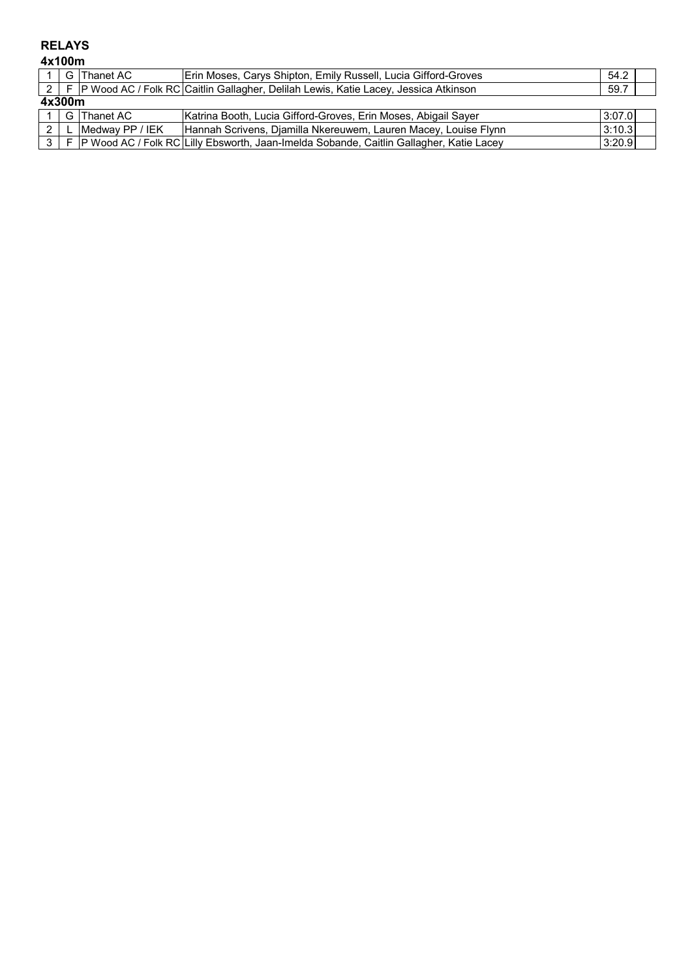# **RELAYS**

**4x100m**

|        | G Thanet AC         | Erin Moses, Carys Shipton, Emily Russell, Lucia Gifford-Groves                                    | 54.2   |  |  |  |  |
|--------|---------------------|---------------------------------------------------------------------------------------------------|--------|--|--|--|--|
|        |                     | 2   F   P Wood AC / Folk RC   Caitlin Gallagher, Delilah Lewis, Katie Lacey, Jessica Atkinson     | 59.7   |  |  |  |  |
| 4x300m |                     |                                                                                                   |        |  |  |  |  |
|        | 1 G Thanet AC       | Katrina Booth, Lucia Gifford-Groves, Erin Moses, Abigail Sayer                                    | 3:07.0 |  |  |  |  |
|        | 2 L Medway PP / IEK | Hannah Scrivens, Djamilla Nkereuwem, Lauren Macey, Louise Flynn                                   | 3:10.3 |  |  |  |  |
|        |                     | 3   F   P Wood AC / Folk RC   Lilly Ebsworth, Jaan-Imelda Sobande, Caitlin Gallagher, Katie Lacey | 3:20.9 |  |  |  |  |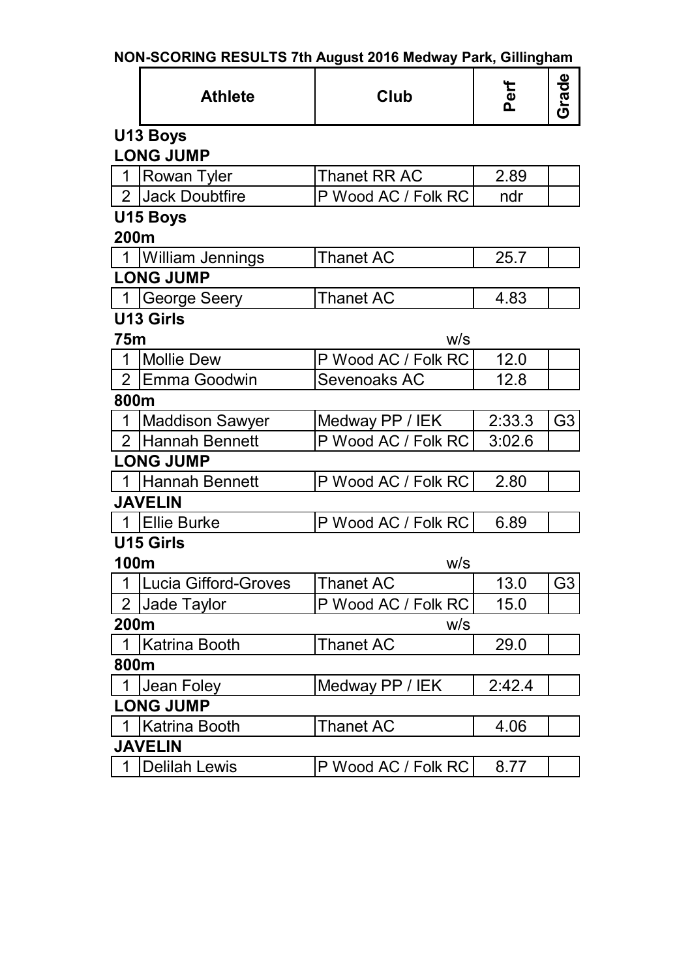|                |                         | <u>NUN-SUUNING NESULTS 7III August 2010 Meuway Park, Gililigilalii</u> |        |                |  |  |  |  |  |  |
|----------------|-------------------------|------------------------------------------------------------------------|--------|----------------|--|--|--|--|--|--|
|                | <b>Athlete</b>          | Club                                                                   | Perf   | Grade          |  |  |  |  |  |  |
|                | U13 Boys                |                                                                        |        |                |  |  |  |  |  |  |
|                | <b>LONG JUMP</b>        |                                                                        |        |                |  |  |  |  |  |  |
| $\mathbf 1$    | <b>Rowan Tyler</b>      | Thanet RR AC                                                           | 2.89   |                |  |  |  |  |  |  |
|                | 2 Jack Doubtfire        | P Wood AC / Folk RC                                                    | ndr    |                |  |  |  |  |  |  |
|                | U15 Boys                |                                                                        |        |                |  |  |  |  |  |  |
| 200m           |                         |                                                                        |        |                |  |  |  |  |  |  |
| $\overline{1}$ | <b>William Jennings</b> | <b>Thanet AC</b>                                                       | 25.7   |                |  |  |  |  |  |  |
|                | <b>LONG JUMP</b>        |                                                                        |        |                |  |  |  |  |  |  |
| $\overline{1}$ | George Seery            | <b>Thanet AC</b>                                                       | 4.83   |                |  |  |  |  |  |  |
|                | <b>U13 Girls</b>        |                                                                        |        |                |  |  |  |  |  |  |
| <b>75m</b>     |                         | w/s                                                                    |        |                |  |  |  |  |  |  |
| $\mathbf{1}$   | <b>Mollie Dew</b>       | P Wood AC / Folk RC                                                    | 12.0   |                |  |  |  |  |  |  |
| $\overline{2}$ | <b>Emma Goodwin</b>     | <b>Sevenoaks AC</b>                                                    | 12.8   |                |  |  |  |  |  |  |
| 800m           |                         |                                                                        |        |                |  |  |  |  |  |  |
| $\mathbf{1}$   | <b>Maddison Sawyer</b>  | Medway PP / IEK                                                        | 2:33.3 | G <sub>3</sub> |  |  |  |  |  |  |
| 2 <sup>1</sup> | Hannah Bennett          | P Wood AC / Folk RC                                                    | 3:02.6 |                |  |  |  |  |  |  |
|                | <b>LONG JUMP</b>        |                                                                        |        |                |  |  |  |  |  |  |
| $\overline{1}$ | Hannah Bennett          | P Wood AC / Folk RC                                                    | 2.80   |                |  |  |  |  |  |  |
|                | <b>JAVELIN</b>          |                                                                        |        |                |  |  |  |  |  |  |
| $\overline{1}$ | <b>Ellie Burke</b>      | P Wood AC / Folk RC                                                    | 6.89   |                |  |  |  |  |  |  |
|                | <b>U15 Girls</b>        |                                                                        |        |                |  |  |  |  |  |  |
| <b>100m</b>    |                         | W/S                                                                    |        |                |  |  |  |  |  |  |
|                | 1 Lucia Gifford-Groves  | Thanet AC                                                              | 13.0   | G <sub>3</sub> |  |  |  |  |  |  |
| $\overline{2}$ | Jade Taylor             | P Wood AC / Folk RC                                                    | 15.0   |                |  |  |  |  |  |  |
| 200m           |                         | W/S                                                                    |        |                |  |  |  |  |  |  |
|                | Katrina Booth           | <b>Thanet AC</b>                                                       | 29.0   |                |  |  |  |  |  |  |
| 800m           |                         |                                                                        |        |                |  |  |  |  |  |  |
| 1              | Jean Foley              | Medway PP / IEK                                                        | 2:42.4 |                |  |  |  |  |  |  |
|                | <b>LONG JUMP</b>        |                                                                        |        |                |  |  |  |  |  |  |
| 1              | <b>Katrina Booth</b>    | <b>Thanet AC</b>                                                       | 4.06   |                |  |  |  |  |  |  |
|                | <b>JAVELIN</b>          |                                                                        |        |                |  |  |  |  |  |  |
| 1              | <b>Delilah Lewis</b>    | P Wood AC / Folk RC                                                    | 8.77   |                |  |  |  |  |  |  |